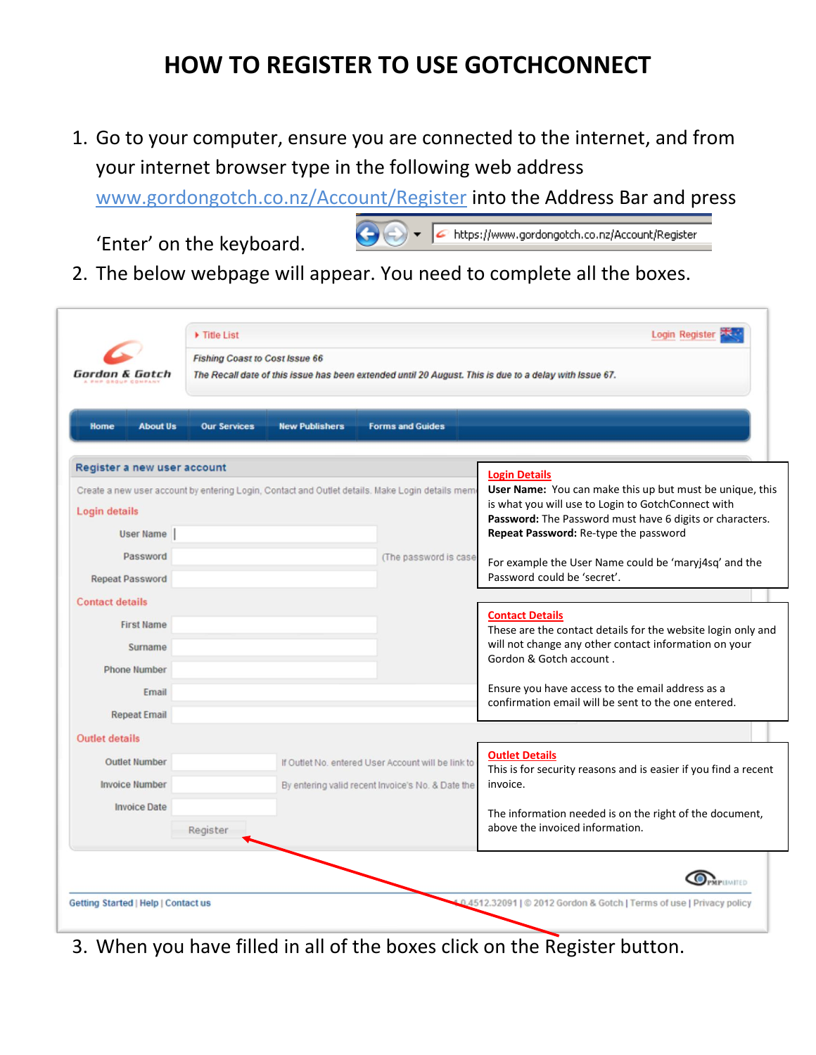## **HOW TO REGISTER TO USE GOTCHCONNECT**

1. Go to your computer, ensure you are connected to the internet, and from your internet browser type in the following web address

[www.gordongotch.co.nz/Account/Register](http://www.gordongotch.co.nz/Account/Register) into the Address Bar and press

'Enter' on the keyboard.

● → Facebook https://www.gordongotch.co.nz/Account/Register

2. The below webpage will appear. You need to complete all the boxes.

| Home<br><b>About Us</b>     | <b>Our Services</b>                                                                             | <b>New Publishers</b>                             | <b>Forms and Guides</b>                                                                                                                                                    |                                                                                            |  |
|-----------------------------|-------------------------------------------------------------------------------------------------|---------------------------------------------------|----------------------------------------------------------------------------------------------------------------------------------------------------------------------------|--------------------------------------------------------------------------------------------|--|
| Register a new user account |                                                                                                 |                                                   |                                                                                                                                                                            | <b>Login Details</b>                                                                       |  |
|                             | Create a new user account by entering Login, Contact and Outlet details. Make Login details mem |                                                   | User Name: You can make this up but must be unique, this<br>is what you will use to Login to GotchConnect with<br>Password: The Password must have 6 digits or characters. |                                                                                            |  |
| Login details               |                                                                                                 |                                                   |                                                                                                                                                                            |                                                                                            |  |
| User Name                   |                                                                                                 |                                                   |                                                                                                                                                                            | Repeat Password: Re-type the password                                                      |  |
| Password                    |                                                                                                 |                                                   | (The password is case                                                                                                                                                      | For example the User Name could be 'maryj4sq' and the                                      |  |
| <b>Repeat Password</b>      |                                                                                                 |                                                   |                                                                                                                                                                            | Password could be 'secret'.                                                                |  |
| <b>Contact details</b>      |                                                                                                 |                                                   |                                                                                                                                                                            |                                                                                            |  |
| <b>First Name</b>           |                                                                                                 |                                                   |                                                                                                                                                                            | <b>Contact Details</b><br>These are the contact details for the website login only and     |  |
| Surname                     |                                                                                                 |                                                   |                                                                                                                                                                            | will not change any other contact information on your                                      |  |
| <b>Phone Number</b>         |                                                                                                 |                                                   |                                                                                                                                                                            | Gordon & Gotch account.                                                                    |  |
| Email                       |                                                                                                 |                                                   |                                                                                                                                                                            | Ensure you have access to the email address as a                                           |  |
| <b>Repeat Email</b>         |                                                                                                 |                                                   |                                                                                                                                                                            | confirmation email will be sent to the one entered.                                        |  |
| <b>Outlet details</b>       |                                                                                                 |                                                   |                                                                                                                                                                            |                                                                                            |  |
| <b>Outlet Number</b>        |                                                                                                 |                                                   | If Outlet No. entered User Account will be link to                                                                                                                         | <b>Outlet Details</b>                                                                      |  |
| <b>Invoice Number</b>       |                                                                                                 | By entering valid recent Invoice's No. & Date the |                                                                                                                                                                            | This is for security reasons and is easier if you find a recent<br>invoice.                |  |
| <b>Invoice Date</b>         |                                                                                                 |                                                   |                                                                                                                                                                            |                                                                                            |  |
|                             | Register                                                                                        |                                                   |                                                                                                                                                                            | The information needed is on the right of the document,<br>above the invoiced information. |  |

3. When you have filled in all of the boxes click on the Register button.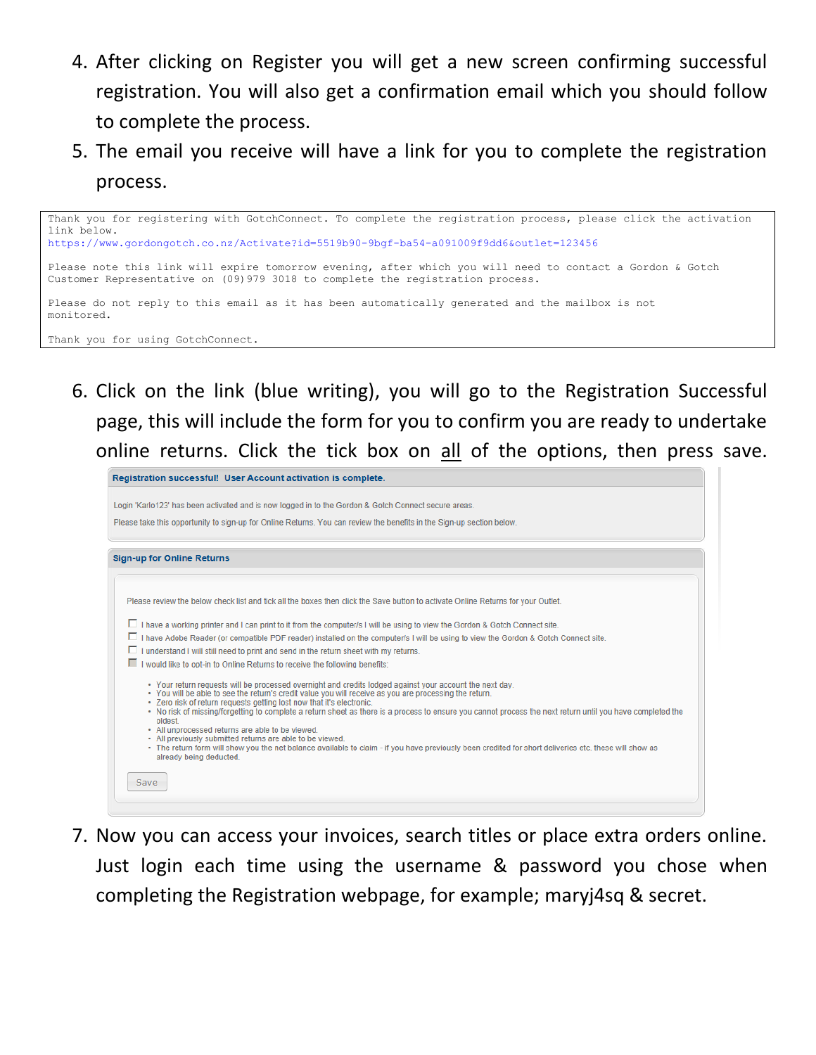- 4. After clicking on Register you will get a new screen confirming successful registration. You will also get a confirmation email which you should follow to complete the process.
- 5. The email you receive will have a link for you to complete the registration process.

```
Thank you for registering with GotchConnect. To complete the registration process, please click the activation 
link below.
https://www.gordongotch.co.nz/Activate?id=5519b90-9bgf-ba54-a091009f9dd6&outlet=123456
Please note this link will expire tomorrow evening, after which you will need to contact a Gordon & Gotch 
Customer Representative on (09)979 3018 to complete the registration process.
Please do not reply to this email as it has been automatically generated and the mailbox is not
monitored.
Thank you for using GotchConnect.
```
6. Click on the link (blue writing), you will go to the Registration Successful page, this will include the form for you to confirm you are ready to undertake online returns. Click the tick box on all of the options, then press save.

| Login 'Karlo123' has been activated and is now logged in to the Gordon & Gotch Connect secure areas.                                                                              |
|-----------------------------------------------------------------------------------------------------------------------------------------------------------------------------------|
|                                                                                                                                                                                   |
|                                                                                                                                                                                   |
| Please take this opportunity to sign-up for Online Returns. You can review the benefits in the Sign-up section below.                                                             |
| <b>Sign-up for Online Returns</b>                                                                                                                                                 |
|                                                                                                                                                                                   |
| Please review the below check list and tick all the boxes then click the Save button to activate Online Returns for your Outlet.                                                  |
| $\Box$ I have a working printer and I can print to it from the computer/s I will be using to view the Gordon & Gotch Connect site.                                                |
| □ I have Adobe Reader (or compatible PDF reader) installed on the computer/s I will be using to view the Gordon & Gotch Connect site.                                             |
| $\Box$ I understand I will still need to print and send in the return sheet with my returns.                                                                                      |
| I would like to opt-in to Online Returns to receive the following benefits:                                                                                                       |
| . Your return requests will be processed overnight and credits lodged against your account the next day.                                                                          |
| . You will be able to see the return's credit value you will receive as you are processing the return.<br>. Zero risk of return requests getting lost now that it's electronic.   |
| • No risk of missing/forgetting to complete a return sheet as there is a process to ensure you cannot process the next return until you have completed the                        |
| oldest<br>• All unprocessed returns are able to be viewed.                                                                                                                        |
| • All previously submitted returns are able to be viewed.                                                                                                                         |
| • The return form will show you the net balance available to claim - if you have previously been credited for short deliveries etc. these will show as<br>already being deducted. |
|                                                                                                                                                                                   |
| Save                                                                                                                                                                              |
|                                                                                                                                                                                   |

7. Now you can access your invoices, search titles or place extra orders online. Just login each time using the username & password you chose when completing the Registration webpage, for example; maryj4sq & secret.